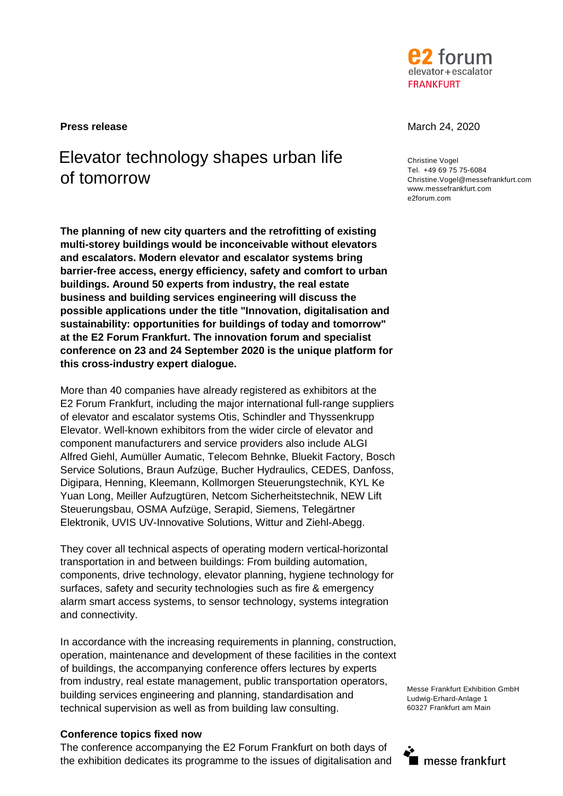

# Elevator technology shapes urban life of tomorrow

**The planning of new city quarters and the retrofitting of existing multi-storey buildings would be inconceivable without elevators and escalators. Modern elevator and escalator systems bring barrier-free access, energy efficiency, safety and comfort to urban buildings. Around 50 experts from industry, the real estate business and building services engineering will discuss the possible applications under the title "Innovation, digitalisation and sustainability: opportunities for buildings of today and tomorrow" at the E2 Forum Frankfurt. The innovation forum and specialist conference on 23 and 24 September 2020 is the unique platform for this cross-industry expert dialogue.** 

More than 40 companies have already registered as exhibitors at the E2 Forum Frankfurt, including the major international full-range suppliers of elevator and escalator systems Otis, Schindler and Thyssenkrupp Elevator. Well-known exhibitors from the wider circle of elevator and component manufacturers and service providers also include ALGI Alfred Giehl, Aumüller Aumatic, Telecom Behnke, Bluekit Factory, Bosch Service Solutions, Braun Aufzüge, Bucher Hydraulics, CEDES, Danfoss, Digipara, Henning, Kleemann, Kollmorgen Steuerungstechnik, KYL Ke Yuan Long, Meiller Aufzugtüren, Netcom Sicherheitstechnik, NEW Lift Steuerungsbau, OSMA Aufzüge, Serapid, Siemens, Telegärtner Elektronik, UVIS UV-Innovative Solutions, Wittur and Ziehl-Abegg.

They cover all technical aspects of operating modern vertical-horizontal transportation in and between buildings: From building automation, components, drive technology, elevator planning, hygiene technology for surfaces, safety and security technologies such as fire & emergency alarm smart access systems, to sensor technology, systems integration and connectivity.

In accordance with the increasing requirements in planning, construction, operation, maintenance and development of these facilities in the context of buildings, the accompanying conference offers lectures by experts from industry, real estate management, public transportation operators, building services engineering and planning, standardisation and technical supervision as well as from building law consulting.

# **Conference topics fixed now**

The conference accompanying the E2 Forum Frankfurt on both days of the exhibition dedicates its programme to the issues of digitalisation and

## **Press release March 24, 2020**

Christine Vogel Tel. +49 69 75 75-6084 Christine.Vogel@messefrankfurt.com www.messefrankfurt.com e2forum.com

Messe Frankfurt Exhibition GmbH Ludwig-Erhard-Anlage 1 60327 Frankfurt am Main

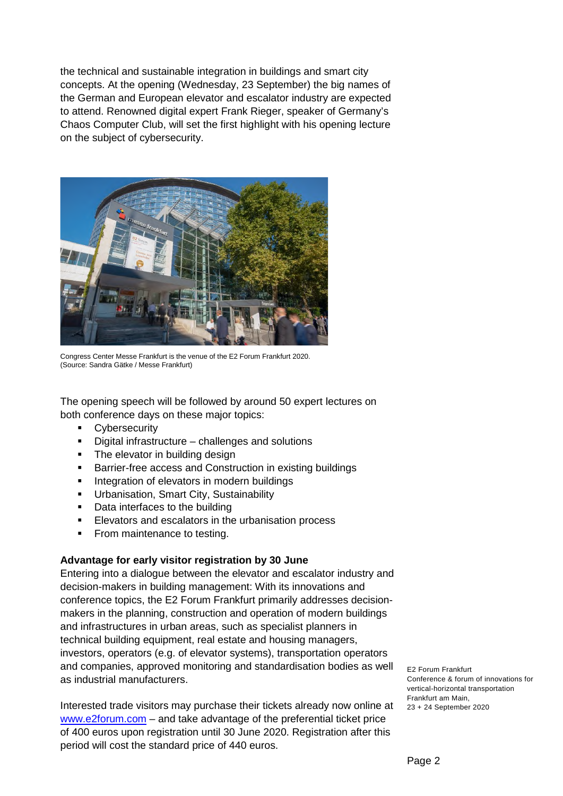the technical and sustainable integration in buildings and smart city concepts. At the opening (Wednesday, 23 September) the big names of the German and European elevator and escalator industry are expected to attend. Renowned digital expert Frank Rieger, speaker of Germany's Chaos Computer Club, will set the first highlight with his opening lecture on the subject of cybersecurity.



Congress Center Messe Frankfurt is the venue of the E2 Forum Frankfurt 2020. (Source: Sandra Gätke / Messe Frankfurt)

The opening speech will be followed by around 50 expert lectures on both conference days on these major topics:

- **•** Cybersecurity
- Digital infrastructure challenges and solutions
- The elevator in building design
- Barrier-free access and Construction in existing buildings
- Integration of elevators in modern buildings
- Urbanisation, Smart City, Sustainability
- Data interfaces to the building
- Elevators and escalators in the urbanisation process
- From maintenance to testing.

# **Advantage for early visitor registration by 30 June**

Entering into a dialogue between the elevator and escalator industry and decision-makers in building management: With its innovations and conference topics, the E2 Forum Frankfurt primarily addresses decisionmakers in the planning, construction and operation of modern buildings and infrastructures in urban areas, such as specialist planners in technical building equipment, real estate and housing managers, investors, operators (e.g. of elevator systems), transportation operators and companies, approved monitoring and standardisation bodies as well as industrial manufacturers.

Interested trade visitors may purchase their tickets already now online at www.e2forum.com – and take advantage of the preferential ticket price of 400 euros upon registration until 30 June 2020. Registration after this period will cost the standard price of 440 euros.

E2 Forum Frankfurt Conference & forum of innovations for vertical-horizontal transportation Frankfurt am Main, 23 + 24 September 2020